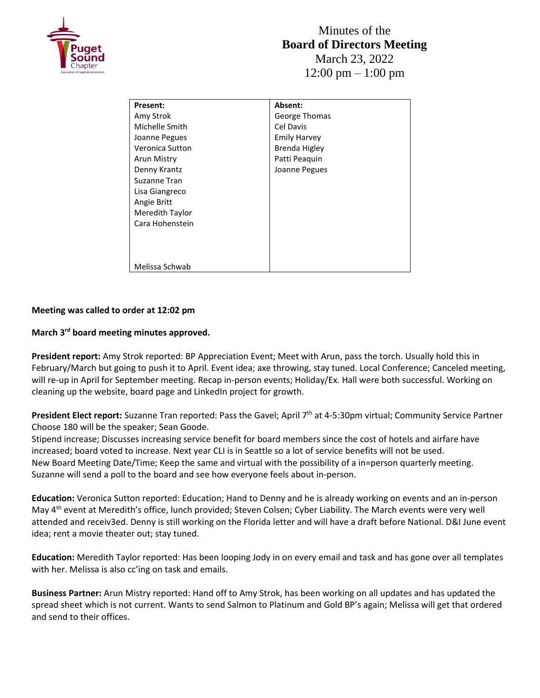

| <b>Present:</b> | Absent:             |
|-----------------|---------------------|
| Amy Strok       | George Thomas       |
| Michelle Smith  | Cel Davis           |
| Joanne Pegues   | <b>Emily Harvey</b> |
| Veronica Sutton | Brenda Higley       |
| Arun Mistry     | Patti Peaguin       |
| Denny Krantz    | Joanne Pegues       |
| Suzanne Tran    |                     |
| Lisa Giangreco  |                     |
| Angie Britt     |                     |
| Meredith Taylor |                     |
| Cara Hohenstein |                     |
|                 |                     |
|                 |                     |
|                 |                     |
| Melissa Schwab  |                     |

## **Meeting was called to order at 12:02 pm**

## **March 3rd board meeting minutes approved.**

**President report:** Amy Strok reported: BP Appreciation Event; Meet with Arun, pass the torch. Usually hold this in February/March but going to push it to April. Event idea; axe throwing, stay tuned. Local Conference; Canceled meeting, will re-up in April for September meeting. Recap in-person events; Holiday/Ex. Hall were both successful. Working on cleaning up the website, board page and LinkedIn project for growth.

President Elect report: Suzanne Tran reported: Pass the Gavel; April 7<sup>th</sup> at 4-5:30pm virtual; Community Service Partner Choose 180 will be the speaker; Sean Goode.

Stipend increase; Discusses increasing service benefit for board members since the cost of hotels and airfare have increased; board voted to increase. Next year CLI is in Seattle so a lot of service benefits will not be used. New Board Meeting Date/Time; Keep the same and virtual with the possibility of a in=person quarterly meeting. Suzanne will send a poll to the board and see how everyone feels about in-person.

**Education:** Veronica Sutton reported: Education; Hand to Denny and he is already working on events and an in-person May 4<sup>th</sup> event at Meredith's office, lunch provided; Steven Colsen; Cyber Liability. The March events were very well attended and receiv3ed. Denny is still working on the Florida letter and will have a draft before National. D&I June event idea; rent a movie theater out; stay tuned.

**Education:** Meredith Taylor reported: Has been looping Jody in on every email and task and has gone over all templates with her. Melissa is also cc'ing on task and emails.

**Business Partner:** Arun Mistry reported: Hand off to Amy Strok, has been working on all updates and has updated the spread sheet which is not current. Wants to send Salmon to Platinum and Gold BP's again; Melissa will get that ordered and send to their offices.